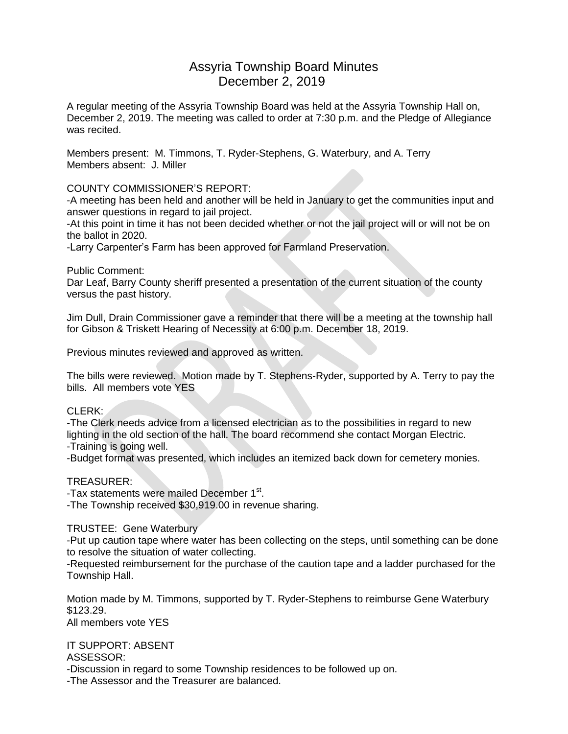## Assyria Township Board Minutes December 2, 2019

A regular meeting of the Assyria Township Board was held at the Assyria Township Hall on, December 2, 2019. The meeting was called to order at 7:30 p.m. and the Pledge of Allegiance was recited.

Members present: M. Timmons, T. Ryder-Stephens, G. Waterbury, and A. Terry Members absent: J. Miller

COUNTY COMMISSIONER'S REPORT:

-A meeting has been held and another will be held in January to get the communities input and answer questions in regard to jail project.

-At this point in time it has not been decided whether or not the jail project will or will not be on the ballot in 2020.

-Larry Carpenter's Farm has been approved for Farmland Preservation.

Public Comment:

Dar Leaf, Barry County sheriff presented a presentation of the current situation of the county versus the past history.

Jim Dull, Drain Commissioner gave a reminder that there will be a meeting at the township hall for Gibson & Triskett Hearing of Necessity at 6:00 p.m. December 18, 2019.

Previous minutes reviewed and approved as written.

The bills were reviewed. Motion made by T. Stephens-Ryder, supported by A. Terry to pay the bills. All members vote YES

## CLERK:

-The Clerk needs advice from a licensed electrician as to the possibilities in regard to new lighting in the old section of the hall. The board recommend she contact Morgan Electric.

-Training is going well.

-Budget format was presented, which includes an itemized back down for cemetery monies.

## TREASURER:

-Tax statements were mailed December 1<sup>st</sup>.

-The Township received \$30,919.00 in revenue sharing.

## TRUSTEE: Gene Waterbury

-Put up caution tape where water has been collecting on the steps, until something can be done to resolve the situation of water collecting.

-Requested reimbursement for the purchase of the caution tape and a ladder purchased for the Township Hall.

Motion made by M. Timmons, supported by T. Ryder-Stephens to reimburse Gene Waterbury \$123.29. All members vote YES

IT SUPPORT: ABSENT

ASSESSOR:

-Discussion in regard to some Township residences to be followed up on.

-The Assessor and the Treasurer are balanced.